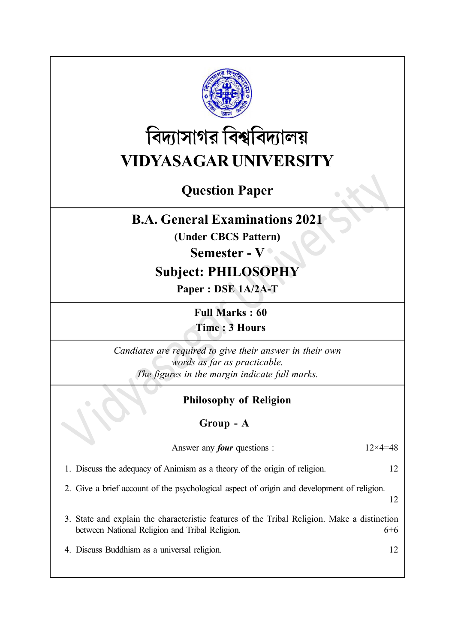

# বিদ্যাসাগর বিশ্ববিদ্যালয় VIDYASAGAR UNIVERSITY

# Question Paper

# B.A. General Examinations 2021

(Under CBCS Pattern)

## Semester - V ·

# Subject: PHILOSOPHY

Paper : DSE 1A/2A-T

Full Marks : 60 Time : 3 Hours

Candiates are required to give their answer in their own words as far as practicable. The figures in the margin indicate full marks.

## Philosophy of Religion

## Group - A

| Answer any <i>four</i> questions :                                                                                                            | $12\times 4=48$ |
|-----------------------------------------------------------------------------------------------------------------------------------------------|-----------------|
| 1. Discuss the adequacy of Animism as a theory of the origin of religion.                                                                     |                 |
| 2. Give a brief account of the psychological aspect of origin and development of religion.                                                    |                 |
| 3. State and explain the characteristic features of the Tribal Religion. Make a distinction<br>between National Religion and Tribal Religion. | 6+6             |
| 4. Discuss Buddhism as a universal religion.                                                                                                  |                 |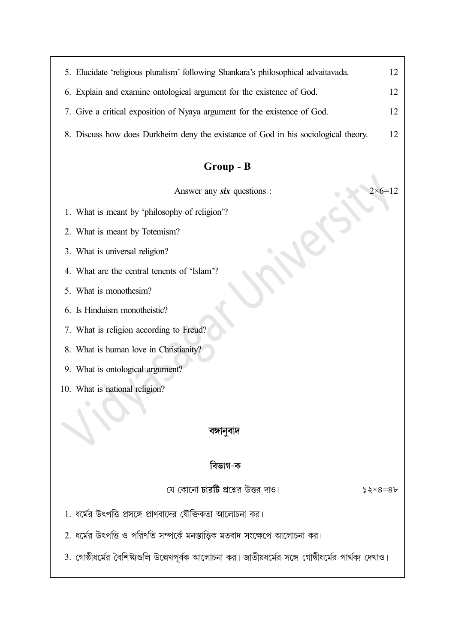| 5. Elucidate 'religious pluralism' following Shankara's philosophical advaitavada. | 12 |  |  |  |
|------------------------------------------------------------------------------------|----|--|--|--|
| 6. Explain and examine ontological argument for the existence of God.              | 12 |  |  |  |
| 7. Give a critical exposition of Nyaya argument for the existence of God.          | 12 |  |  |  |
| 8. Discuss how does Durkheim deny the existance of God in his sociological theory. | 12 |  |  |  |
| Group - B                                                                          |    |  |  |  |
| Answer any <b>six</b> questions :                                                  |    |  |  |  |
| 1. What is meant by 'philosophy of religion'?                                      |    |  |  |  |

2. What is meant by Totemism?

3. What is universal religion?

- 4. What are the central tenents of 'Islam'?
- 5. What is monothesim?
- 6. Is Hinduism monotheistic?
- 7. What is religion according to Freud?
- 8. What is human love in Christianity?
- 9. What is ontological argument?
- 10. What is national religion?

#### বঙ্গানুবাদ

### বিভাগ-ক

যে কোনো চারটি প্রশ্নের উত্তর দাও।

 $52 \times 8 = 8$ 

- 1. ধর্মের উৎপত্তি প্রসঙ্গে প্রাণবাদের যৌক্তিকতা আলোচনা কর।
- 2. ধর্মের উৎপত্তি ও পরিণতি সম্পর্কে মনস্তাত্ত্বিক মতবাদ সংক্ষেপে আলোচনা কর।
- 3. গোষ্ঠীধর্মের বৈশিষ্ট্যগুলি উল্লেখপূর্বক আলোচনা কর। জাতীয়ধর্মের সঙ্গে গোষ্ঠীধর্মের পার্থক্য দেখাও।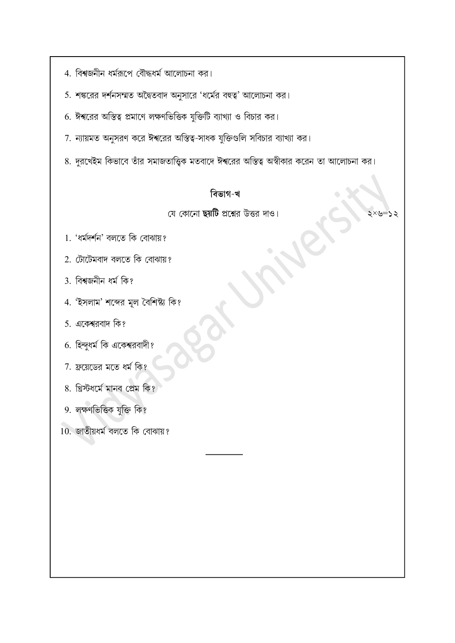- 4. বিশ্বজনীন ধর্মরূপে বৌদ্ধধর্ম আলোচনা কর।
- 5. শঙ্করের দর্শনসম্মত অদ্বৈতবাদ অনুসারে 'ধর্মের বহুত্ব' আলোচনা কর।
- 6. ঈশ্বরের অস্তিত্ব প্রমাণে লক্ষণভিত্তিক যুক্তিটি ব্যাখ্যা ও বিচার কর।
- 7. ন্যায়মত অনুসরণ করে ঈশ্বরের অস্তিত্ব-সাধক যুক্তিগুলি সবিচার ব্যাখ্যা কর।
- 8. দুরখেইম কিভাবে তাঁর সমাজতাত্ত্বিক মতবাদে ঈশ্বরের অস্তিত্ব অস্বীকার করেন তা আলোচনা কর।

### বিভাগ-খ

#### যে কোনো ছয়টি প্রশ্নের উত্তর দাও।

 $\times$ =

- 1. 'ধৰ্মদৰ্শন' বলতে কি বোঝায়?
- 2. টোটেমবাদ বলতে কি বোঝায়?
- 3. বিশ্বজনীন ধৰ্ম কি?
- 4. 'ইসলাম' শব্দের মূল বৈশিষ্ট্য কি?
- 5. একেশ্বরবাদ কি?
- 6. হিন্দুধর্ম কি একেশ্বরবাদী?
- 7. ফ্রয়েডের মতে ধর্ম কি?
- 8. খ্রিস্টধর্মে মানব প্রেম কি?
- 9. লক্ষণভিত্তিক যুক্তি কি?
- 10. জাতীয়ধৰ্ম বলতে কি বোঝায়?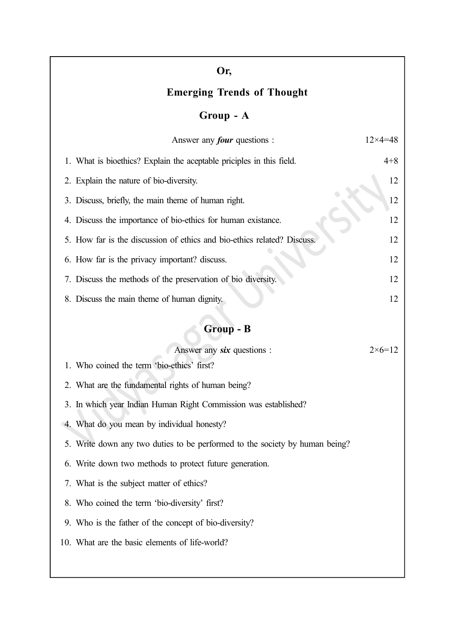| Or,                                                                         |                   |
|-----------------------------------------------------------------------------|-------------------|
| <b>Emerging Trends of Thought</b>                                           |                   |
| Group - A                                                                   |                   |
| Answer any <i>four</i> questions :                                          | $12\times4=48$    |
| 1. What is bioethics? Explain the aceptable priciples in this field.        | $4 + 8$           |
| 2. Explain the nature of bio-diversity.                                     | 12                |
| 3. Discuss, briefly, the main theme of human right.                         | 12                |
| 4. Discuss the importance of bio-ethics for human existance.                | 12                |
| 5. How far is the discussion of ethics and bio-ethics related? Discuss.     | 12                |
| 6. How far is the privacy important? discuss.                               | 12                |
| 7. Discuss the methods of the preservation of bio diversity.                | 12                |
| 8. Discuss the main theme of human dignity.                                 | 12                |
| Group - B                                                                   |                   |
| Answer any six questions :                                                  | $2 \times 6 = 12$ |
| 1. Who coined the term 'bio-ethics' first?                                  |                   |
| 2. What are the fundamental rights of human being?                          |                   |
| 3. In which year Indian Human Right Commission was established?             |                   |
| 4. What do you mean by individual honesty?                                  |                   |
| 5. Write down any two duties to be performed to the society by human being? |                   |
| 6. Write down two methods to protect future generation.                     |                   |
| 7. What is the subject matter of ethics?                                    |                   |
| 8. Who coined the term 'bio-diversity' first?                               |                   |

- 9. Who is the father of the concept of bio-diversity?
- 10. What are the basic elements of life-world?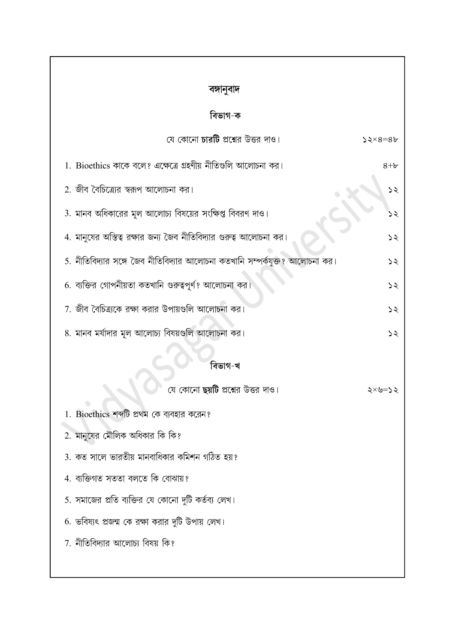| বঙ্গানুবাদ                                                                  |                |
|-----------------------------------------------------------------------------|----------------|
| বিভাগ-ক                                                                     |                |
| যে কোনো <b>চারটি</b> প্রশ্নের উত্তর দাও।                                    | $52\times8=86$ |
| 1. Bioethics কাকে বলে? এক্ষেত্রে গ্রহণীয় নীতিগুলি আলোচনা কর।               | $8 + b$        |
| 2. জীব বৈচিত্র্যের স্বরূপ আলোচনা কর।                                        | ১২             |
| 3. মানব অধিকারের মূল আলোচ্য বিষয়ের সংক্ষিপ্ত বিবরণ দাও।                    |                |
| 4. মানুষের অস্তিত্ব রক্ষার জন্য জৈব নীতিবিদ্যার গুরুত্ব আলোচনা কর।          | ১২             |
| 5. নীতিবিদ্যার সঙ্গে জৈব নীতিবিদ্যার আলোচনা কতখানি সম্পর্কযুক্ত? আলোচনা কর। | ১২             |
| 6. ব্যক্তির গোপনীয়তা কতখানি গুরুত্বপূর্ণ? আলোচনা কর।                       | ১২             |
| 7. জীব বৈচিত্র্যকে রক্ষা করার উপায়গুলি আলোচনা কর।                          | ১২             |
| 8. মানব মর্যাদার মূল আলোচ্য বিষয়গুলি আলোচনা কর।                            | ১২             |
| বিভাগ-খ                                                                     |                |
| যে কোনো <b>ছয়টি</b> প্রশ্নের উত্তর দাও।                                    | ২×৬≕           |
| 1. Bioethics শব্দটি প্রথম কে ব্যবহার করেন?                                  |                |
| 2. মানুষের মৌলিক অধিকার কি কি?                                              |                |
| 3. কত সালে ভারতীয় মানবাধিকার কমিশন গঠিত হয়?                               |                |
| 4. ব্যক্তিগত সততা বলতে কি বোঝায়?                                           |                |
| 5. সমাজের প্রতি ব্যক্তির যে কোনো দুটি কর্তব্য লেখ।                          |                |
| 6. ভবিষ্যৎ প্রজন্ম কে রক্ষা করার দুটি উপায় লেখ।                            |                |
| 7. নীতিবিদ্যার আলোচ্য বিষয় কি?                                             |                |
|                                                                             |                |